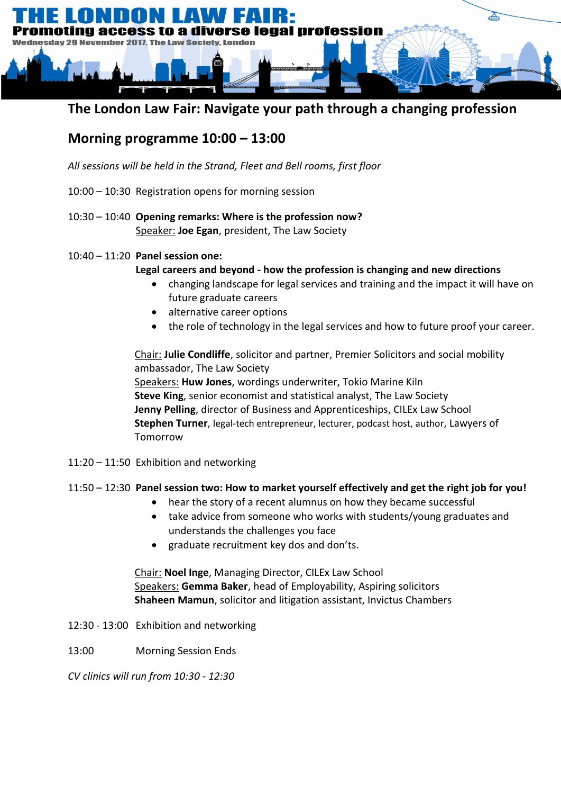

## **The London Law Fair: Navigate your path through a changing profession**

## **Morning programme 10:00 – 13:00**

*All sessions will be held in the Strand, Fleet and Bell rooms, first floor*

- 10:00 10:30 Registration opens for morning session
- 10:30 10:40 **Opening remarks: Where is the profession now?** Speaker: **Joe Egan**, president, The Law Society
- 10:40 11:20 **Panel session one:**

### **Legal careers and beyond - how the profession is changing and new directions**

- changing landscape for legal services and training and the impact it will have on future graduate careers
- alternative career options
- the role of technology in the legal services and how to future proof your career.

Chair: **Julie Condliffe**, solicitor and partner, Premier Solicitors and social mobility ambassador, The Law Society Speakers: **Huw Jones**, wordings underwriter, Tokio Marine Kiln **Steve King**, senior economist and statistical analyst, The Law Society **Jenny Pelling**, director of Business and Apprenticeships, CILEx Law School **Stephen Turner**, legal-tech entrepreneur, lecturer, podcast host, author, Lawyers of Tomorrow

11:20 – 11:50 Exhibition and networking

### 11:50 – 12:30 **Panel session two: How to market yourself effectively and get the right job for you!**

- hear the story of a recent alumnus on how they became successful
- take advice from someone who works with students/young graduates and understands the challenges you face
- graduate recruitment key dos and don'ts.

Chair: **Noel Inge**, Managing Director, CILEx Law School Speakers: **Gemma Baker**, head of Employability, Aspiring solicitors **Shaheen Mamun**, solicitor and litigation assistant, Invictus Chambers

- 12:30 13:00 Exhibition and networking
- 13:00 Morning Session Ends

*CV clinics will run from 10:30 - 12:30*